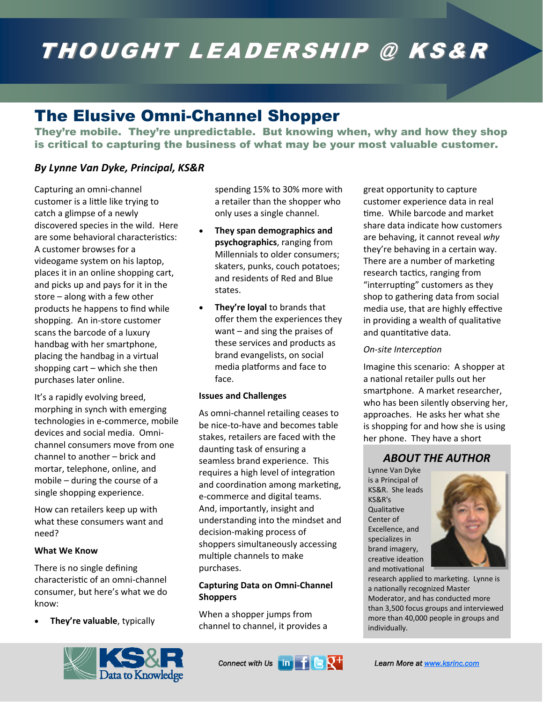# THOUGHT LEADERSHIP @ KS&R

# The Elusive Omni-Channel Shopper

They're mobile. They're unpredictable. But knowing when, why and how they shop is critical to capturing the business of what may be your most valuable customer.

# *By Lynne Van Dyke, Principal, KS&R*

Capturing an omni‐channel customer is a little like trying to catch a glimpse of a newly discovered species in the wild. Here are some behavioral characteristics: A customer browses for a videogame system on his laptop, places it in an online shopping cart, and picks up and pays for it in the store – along with a few other products he happens to find while shopping. An in‐store customer scans the barcode of a luxury handbag with her smartphone, placing the handbag in a virtual shopping cart – which she then purchases later online.

It's a rapidly evolving breed, morphing in synch with emerging technologies in e‐commerce, mobile devices and social media. Omni‐ channel consumers move from one channel to another – brick and mortar, telephone, online, and mobile – during the course of a single shopping experience.

How can retailers keep up with what these consumers want and need?

#### **What We Know**

There is no single defining characterisƟc of an omni‐channel consumer, but here's what we do know:

• **They're valuable**, typically



spending 15% to 30% more with a retailer than the shopper who only uses a single channel.

- **They span demographics and psychographics**, ranging from Millennials to older consumers; skaters, punks, couch potatoes; and residents of Red and Blue states.
- **They're loyal** to brands that offer them the experiences they want – and sing the praises of these services and products as brand evangelists, on social media platforms and face to face.

#### **Issues and Challenges**

As omni‐channel retailing ceases to be nice‐to‐have and becomes table stakes, retailers are faced with the daunting task of ensuring a seamless brand experience. This requires a high level of integration and coordination among marketing, e‐commerce and digital teams. And, importantly, insight and understanding into the mindset and decision‐making process of shoppers simultaneously accessing multiple channels to make purchases.

## **Capturing Data on Omni‐Channel Shoppers**

When a shopper jumps from channel to channel, it provides a

**Connect with Us Line Learn More at www.ksrinc.com** 



#### *On‐site IntercepƟon*

Imagine this scenario: A shopper at a national retailer pulls out her smartphone. A market researcher, who has been silently observing her, approaches. He asks her what she is shopping for and how she is using her phone. They have a short

# *ABOUT THE AUTHOR*

Lynne Van Dyke is a Principal of KS&R. She leads KS&R's **Qualitative** Center of Excellence, and specializes in brand imagery, creative ideation and motivational



research applied to marketing. Lynne is a nationally recognized Master Moderator, and has conducted more than 3,500 focus groups and interviewed more than 40,000 people in groups and individually.